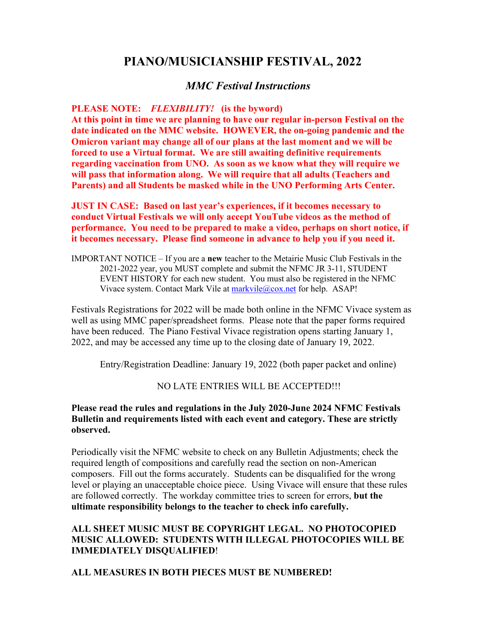# **PIANO/MUSICIANSHIP FESTIVAL, 2022**

## *MMC Festival Instructions*

#### **PLEASE NOTE:** *FLEXIBILITY!* **(is the byword)**

**At this point in time we are planning to have our regular in-person Festival on the date indicated on the MMC website. HOWEVER, the on-going pandemic and the Omicron variant may change all of our plans at the last moment and we will be forced to use a Virtual format. We are still awaiting definitive requirements regarding vaccination from UNO. As soon as we know what they will require we will pass that information along. We will require that all adults (Teachers and Parents) and all Students be masked while in the UNO Performing Arts Center.**

**JUST IN CASE: Based on last year's experiences, if it becomes necessary to conduct Virtual Festivals we will only accept YouTube videos as the method of performance. You need to be prepared to make a video, perhaps on short notice, if it becomes necessary. Please find someone in advance to help you if you need it.**

IMPORTANT NOTICE – If you are a **new** teacher to the Metairie Music Club Festivals in the 2021-2022 year, you MUST complete and submit the NFMC JR 3-11, STUDENT EVENT HISTORY for each new student. You must also be registered in the NFMC Vivace system. Contact Mark Vile at [markvile@cox.net](mailto:markvile@cox.net) for help. ASAP!

Festivals Registrations for 2022 will be made both online in the NFMC Vivace system as well as using MMC paper/spreadsheet forms. Please note that the paper forms required have been reduced. The Piano Festival Vivace registration opens starting January 1, 2022, and may be accessed any time up to the closing date of January 19, 2022.

Entry/Registration Deadline: January 19, 2022 (both paper packet and online)

### NO LATE ENTRIES WILL BE ACCEPTED!!!

#### **Please read the rules and regulations in the July 2020-June 2024 NFMC Festivals Bulletin and requirements listed with each event and category. These are strictly observed.**

Periodically visit the NFMC website to check on any Bulletin Adjustments; check the required length of compositions and carefully read the section on non-American composers. Fill out the forms accurately. Students can be disqualified for the wrong level or playing an unacceptable choice piece. Using Vivace will ensure that these rules are followed correctly. The workday committee tries to screen for errors, **but the ultimate responsibility belongs to the teacher to check info carefully.**

#### **ALL SHEET MUSIC MUST BE COPYRIGHT LEGAL. NO PHOTOCOPIED MUSIC ALLOWED: STUDENTS WITH ILLEGAL PHOTOCOPIES WILL BE IMMEDIATELY DISQUALIFIED**!

#### **ALL MEASURES IN BOTH PIECES MUST BE NUMBERED!**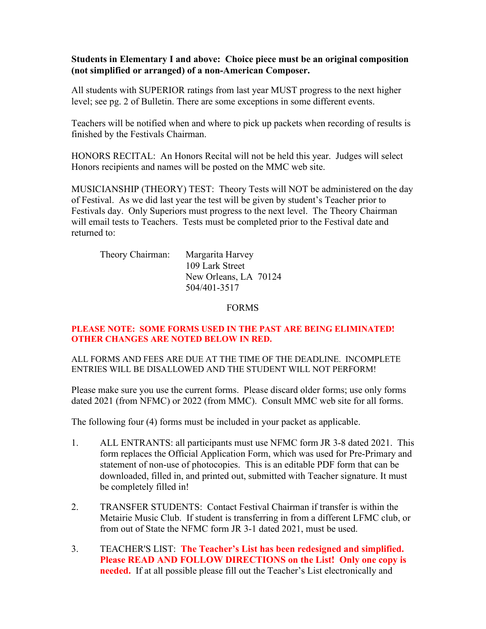#### **Students in Elementary I and above: Choice piece must be an original composition (not simplified or arranged) of a non-American Composer.**

All students with SUPERIOR ratings from last year MUST progress to the next higher level; see pg. 2 of Bulletin. There are some exceptions in some different events.

Teachers will be notified when and where to pick up packets when recording of results is finished by the Festivals Chairman.

HONORS RECITAL: An Honors Recital will not be held this year. Judges will select Honors recipients and names will be posted on the MMC web site.

MUSICIANSHIP (THEORY) TEST: Theory Tests will NOT be administered on the day of Festival. As we did last year the test will be given by student's Teacher prior to Festivals day. Only Superiors must progress to the next level. The Theory Chairman will email tests to Teachers. Tests must be completed prior to the Festival date and returned to:

| Theory Chairman: | Margarita Harvey      |  |
|------------------|-----------------------|--|
|                  | 109 Lark Street       |  |
|                  | New Orleans, LA 70124 |  |
|                  | 504/401-3517          |  |

FORMS

#### **PLEASE NOTE: SOME FORMS USED IN THE PAST ARE BEING ELIMINATED! OTHER CHANGES ARE NOTED BELOW IN RED.**

ALL FORMS AND FEES ARE DUE AT THE TIME OF THE DEADLINE. INCOMPLETE ENTRIES WILL BE DISALLOWED AND THE STUDENT WILL NOT PERFORM!

Please make sure you use the current forms. Please discard older forms; use only forms dated 2021 (from NFMC) or 2022 (from MMC). Consult MMC web site for all forms.

The following four (4) forms must be included in your packet as applicable.

- 1. ALL ENTRANTS: all participants must use NFMC form JR 3-8 dated 2021. This form replaces the Official Application Form, which was used for Pre-Primary and statement of non-use of photocopies. This is an editable PDF form that can be downloaded, filled in, and printed out, submitted with Teacher signature. It must be completely filled in!
- 2. TRANSFER STUDENTS: Contact Festival Chairman if transfer is within the Metairie Music Club. If student is transferring in from a different LFMC club, or from out of State the NFMC form JR 3-1 dated 2021, must be used.
- 3. TEACHER'S LIST: **The Teacher's List has been redesigned and simplified. Please READ AND FOLLOW DIRECTIONS on the List! Only one copy is needed.** If at all possible please fill out the Teacher's List electronically and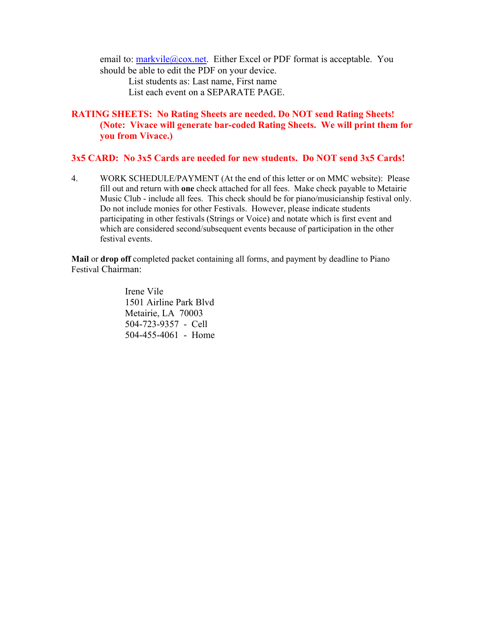email to: [markvile@cox.net.](mailto:markvile@cox.net) Either Excel or PDF format is acceptable. You should be able to edit the PDF on your device.

List students as: Last name, First name List each event on a SEPARATE PAGE.

### **RATING SHEETS: No Rating Sheets are needed. Do NOT send Rating Sheets! (Note: Vivace will generate bar-coded Rating Sheets. We will print them for you from Vivace.)**

#### **3x5 CARD: No 3x5 Cards are needed for new students. Do NOT send 3x5 Cards!**

4. WORK SCHEDULE/PAYMENT (At the end of this letter or on MMC website): Please fill out and return with **one** check attached for all fees. Make check payable to Metairie Music Club - include all fees. This check should be for piano/musicianship festival only. Do not include monies for other Festivals. However, please indicate students participating in other festivals (Strings or Voice) and notate which is first event and which are considered second/subsequent events because of participation in the other festival events.

**Mail** or **drop off** completed packet containing all forms, and payment by deadline to Piano Festival Chairman:

> Irene Vile 1501 Airline Park Blvd Metairie, LA 70003 504-723-9357 - Cell 504-455-4061 - Home